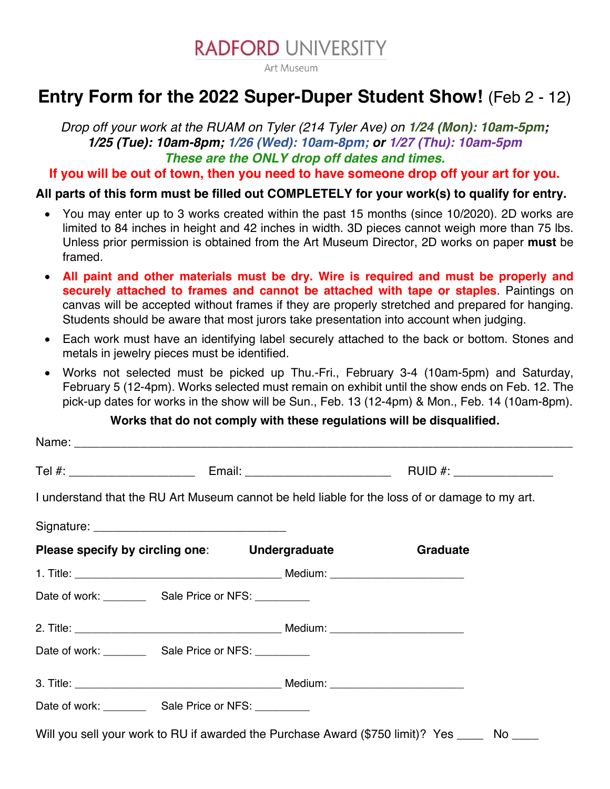

Art Museum

## **Entry Form for the 2022 Super-Duper Student Show!** (Feb 2 - 12)

*Drop off your work at the RUAM on Tyler (214 Tyler Ave) on 1/24 (Mon): 10am-5pm; 1/25 (Tue): 10am-8pm; 1/26 (Wed): 10am-8pm; or 1/27 (Thu): 10am-5pm These are the ONLY drop off dates and times.*

**If you will be out of town, then you need to have someone drop off your art for you.**

**All parts of this form must be filled out COMPLETELY for your work(s) to qualify for entry.**

- You may enter up to 3 works created within the past 15 months (since 10/2020). 2D works are limited to 84 inches in height and 42 inches in width. 3D pieces cannot weigh more than 75 lbs. Unless prior permission is obtained from the Art Museum Director, 2D works on paper **must** be framed.
- **All paint and other materials must be dry. Wire is required and must be properly and securely attached to frames and cannot be attached with tape or staples**. Paintings on canvas will be accepted without frames if they are properly stretched and prepared for hanging. Students should be aware that most jurors take presentation into account when judging.
- Each work must have an identifying label securely attached to the back or bottom. Stones and metals in jewelry pieces must be identified.
- Works not selected must be picked up Thu.-Fri., February 3-4 (10am-5pm) and Saturday, February 5 (12-4pm). Works selected must remain on exhibit until the show ends on Feb. 12. The pick-up dates for works in the show will be Sun., Feb. 13 (12-4pm) & Mon., Feb. 14 (10am-8pm).

## **Works that do not comply with these regulations will be disqualified.**

|                                  |  |                                                                                                                                                                                                                                | I understand that the RU Art Museum cannot be held liable for the loss of or damage to my art. |  |
|----------------------------------|--|--------------------------------------------------------------------------------------------------------------------------------------------------------------------------------------------------------------------------------|------------------------------------------------------------------------------------------------|--|
|                                  |  |                                                                                                                                                                                                                                |                                                                                                |  |
|                                  |  | Please specify by circling one: Undergraduate                                                                                                                                                                                  | Graduate                                                                                       |  |
|                                  |  |                                                                                                                                                                                                                                |                                                                                                |  |
|                                  |  |                                                                                                                                                                                                                                |                                                                                                |  |
|                                  |  | 2. Title: 2. Title: 2. Title: 2. Title: 2. Title: 2. Title: 2. Title: 2. Title: 2. Title: 2. Title: 2. Title: 2. Title: 2. Title: 2. Title: 2. Title: 2. Title: 2. Title: 2. Title: 2. Title: 2. Title: 2. Title: 2. Title: 2. |                                                                                                |  |
| Date of work: Sale Price or NFS: |  |                                                                                                                                                                                                                                |                                                                                                |  |
|                                  |  |                                                                                                                                                                                                                                |                                                                                                |  |
| Date of work: Sale Price or NFS: |  |                                                                                                                                                                                                                                |                                                                                                |  |
|                                  |  |                                                                                                                                                                                                                                | Will you sell your work to RU if awarded the Purchase Award (\$750 limit)? Yes _____ No ____   |  |